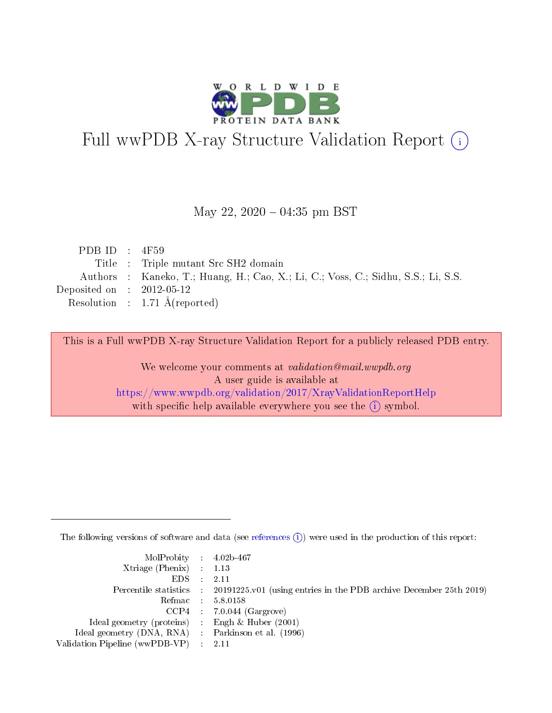

# Full wwPDB X-ray Structure Validation Report (i)

#### May 22,  $2020 - 04:35$  pm BST

| PDB ID : $4F59$             |                                                                                   |
|-----------------------------|-----------------------------------------------------------------------------------|
|                             | Title : Triple mutant Src SH2 domain                                              |
|                             | Authors : Kaneko, T.; Huang, H.; Cao, X.; Li, C.; Voss, C.; Sidhu, S.S.; Li, S.S. |
| Deposited on : $2012-05-12$ |                                                                                   |
|                             | Resolution : $1.71 \text{ Å}$ (reported)                                          |

This is a Full wwPDB X-ray Structure Validation Report for a publicly released PDB entry.

We welcome your comments at validation@mail.wwpdb.org A user guide is available at <https://www.wwpdb.org/validation/2017/XrayValidationReportHelp> with specific help available everywhere you see the  $(i)$  symbol.

The following versions of software and data (see [references](https://www.wwpdb.org/validation/2017/XrayValidationReportHelp#references)  $(i)$ ) were used in the production of this report:

| $MolProbability$ 4.02b-467                          |                                                                                            |
|-----------------------------------------------------|--------------------------------------------------------------------------------------------|
| Xtriage (Phenix) $: 1.13$                           |                                                                                            |
| $EDS$ :                                             | -2.11                                                                                      |
|                                                     | Percentile statistics : 20191225.v01 (using entries in the PDB archive December 25th 2019) |
|                                                     | Refmac : 5.8.0158                                                                          |
|                                                     | $CCP4$ : 7.0.044 (Gargrove)                                                                |
| Ideal geometry (proteins) : Engh $\&$ Huber (2001)  |                                                                                            |
| Ideal geometry (DNA, RNA) : Parkinson et al. (1996) |                                                                                            |
| Validation Pipeline (wwPDB-VP)                      | -2.11                                                                                      |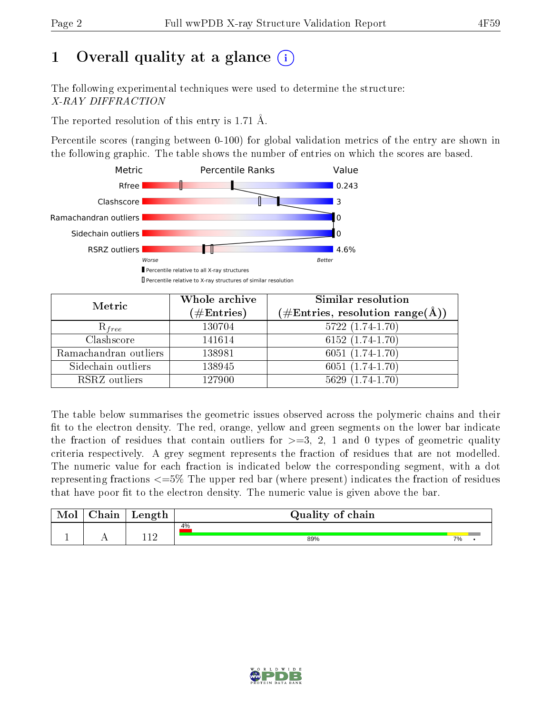## 1 [O](https://www.wwpdb.org/validation/2017/XrayValidationReportHelp#overall_quality)verall quality at a glance  $(i)$

The following experimental techniques were used to determine the structure: X-RAY DIFFRACTION

The reported resolution of this entry is 1.71 Å.

Percentile scores (ranging between 0-100) for global validation metrics of the entry are shown in the following graphic. The table shows the number of entries on which the scores are based.



| Metric                | Whole archive<br>$(\#\mathrm{Entries})$ | <b>Similar resolution</b><br>(#Entries, resolution range(Å)) |
|-----------------------|-----------------------------------------|--------------------------------------------------------------|
| $R_{free}$            | 130704                                  | $5722(1.74-1.70)$                                            |
| Clashscore            | 141614                                  | $6152(1.74-1.70)$                                            |
| Ramachandran outliers | 138981                                  | $6051(1.74-1.70)$                                            |
| Sidechain outliers    | 138945                                  | $6051(1.74-1.70)$                                            |
| RSRZ outliers         | 127900                                  | $5629(1.74-1.70)$                                            |

The table below summarises the geometric issues observed across the polymeric chains and their fit to the electron density. The red, orange, yellow and green segments on the lower bar indicate the fraction of residues that contain outliers for  $>=3, 2, 1$  and 0 types of geometric quality criteria respectively. A grey segment represents the fraction of residues that are not modelled. The numeric value for each fraction is indicated below the corresponding segment, with a dot representing fractions  $\epsilon=5\%$  The upper red bar (where present) indicates the fraction of residues that have poor fit to the electron density. The numeric value is given above the bar.

| Mol       | $\sim$ 1.<br>hain | Length      | Quality of chain |    |  |
|-----------|-------------------|-------------|------------------|----|--|
|           |                   |             | 4%               |    |  |
| <u>д.</u> | . .               | 11 ຕ<br>┸┸스 | 89%              | 7% |  |

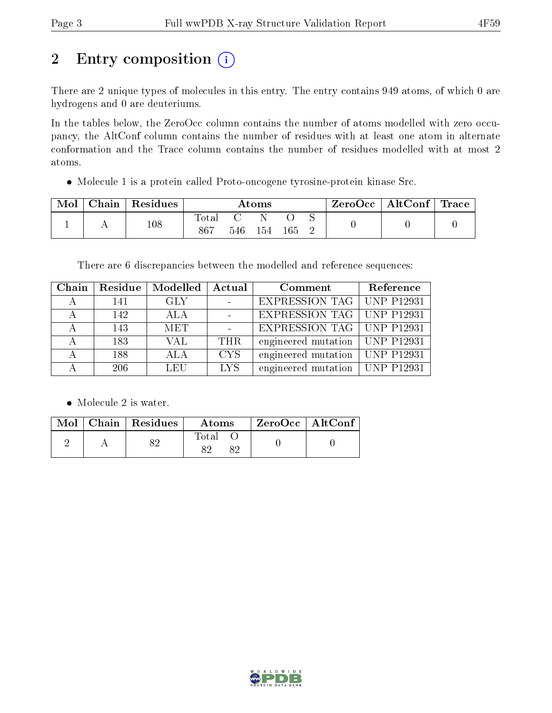# 2 Entry composition  $(i)$

There are 2 unique types of molecules in this entry. The entry contains 949 atoms, of which 0 are hydrogens and 0 are deuteriums.

In the tables below, the ZeroOcc column contains the number of atoms modelled with zero occupancy, the AltConf column contains the number of residues with at least one atom in alternate conformation and the Trace column contains the number of residues modelled with at most 2 atoms.

Molecule 1 is a protein called Proto-oncogene tyrosine-protein kinase Src.

| Mol | Chain   Residues | Atoms         |  |         |     | $\text{ZeroOcc} \mid \text{AltConf} \mid \text{Trace}$ |  |
|-----|------------------|---------------|--|---------|-----|--------------------------------------------------------|--|
|     | 108              | Total<br>-867 |  | 546 154 | 165 |                                                        |  |

There are 6 discrepancies between the modelled and reference sequences:

| Chain | Residue | $\bf{Modelled} \mid \bf{Actual}$ |            | Comment                          | Reference         |
|-------|---------|----------------------------------|------------|----------------------------------|-------------------|
|       | 141     | <b>GLY</b>                       |            | EXPRESSION TAG   UNP P12931      |                   |
|       | 142     | ALA                              |            | EXPRESSION TAG   UNP P12931      |                   |
|       | 143     | <b>MET</b>                       |            | EXPRESSION TAG UNP P12931        |                   |
|       | 183     | VAL                              | THR.       | engineered mutation   UNP P12931 |                   |
|       | 188     | ALA                              | <b>CYS</b> | engineered mutation              | <b>UNP P12931</b> |
|       | 206     | LEU                              | LYS.       | engineered mutation   UNP P12931 |                   |

• Molecule 2 is water.

|  | $\boxed{\text{Mol}$ Chain   Residues | Atoms. | ZeroOcc   AltConf |  |
|--|--------------------------------------|--------|-------------------|--|
|  | O 6 1                                | Total  |                   |  |

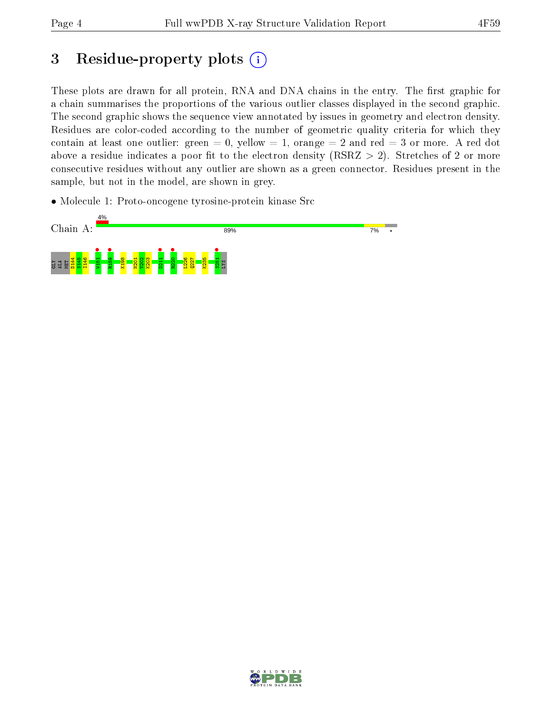## 3 Residue-property plots  $(i)$

These plots are drawn for all protein, RNA and DNA chains in the entry. The first graphic for a chain summarises the proportions of the various outlier classes displayed in the second graphic. The second graphic shows the sequence view annotated by issues in geometry and electron density. Residues are color-coded according to the number of geometric quality criteria for which they contain at least one outlier: green  $= 0$ , yellow  $= 1$ , orange  $= 2$  and red  $= 3$  or more. A red dot above a residue indicates a poor fit to the electron density (RSRZ  $> 2$ ). Stretches of 2 or more consecutive residues without any outlier are shown as a green connector. Residues present in the sample, but not in the model, are shown in grey.

• Molecule 1: Proto-oncogene tyrosine-protein kinase Src



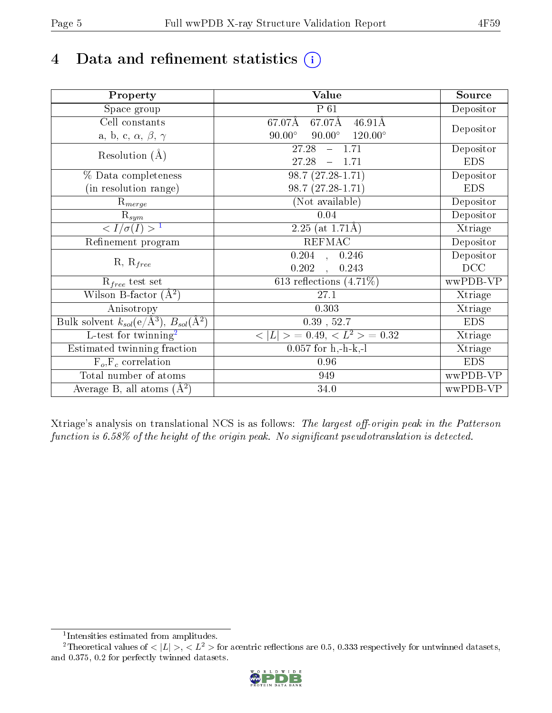## 4 Data and refinement statistics  $(i)$

| Property                                                             | Value                                            | Source                       |
|----------------------------------------------------------------------|--------------------------------------------------|------------------------------|
| Space group                                                          | P 61                                             | Depositor                    |
| Cell constants                                                       | 67.07Å<br>$46.91\text{\AA}$<br>67.07Å            |                              |
| a, b, c, $\alpha$ , $\beta$ , $\gamma$                               | $90.00^\circ$<br>$90.00^\circ$<br>$120.00^\circ$ | Depositor                    |
| Resolution $(A)$                                                     | 27.28<br>$-1.71$                                 | Depositor                    |
|                                                                      | 27.28<br>$-1.71$                                 | <b>EDS</b>                   |
| % Data completeness                                                  | $98.7(27.28-1.71)$                               | Depositor                    |
| (in resolution range)                                                | 98.7 (27.28-1.71)                                | <b>EDS</b>                   |
| $R_{merge}$                                                          | (Not available)                                  | Depositor                    |
| $\mathrm{R}_{sym}$                                                   | 0.04                                             | Depositor                    |
| $\langle I/\sigma(I) \rangle^{-1}$                                   | $2.25$ (at 1.71Å)                                | Xtriage                      |
| Refinement program                                                   | <b>REFMAC</b>                                    | Depositor                    |
|                                                                      | 0.204,<br>0.246                                  | Depositor                    |
| $R, R_{free}$                                                        | 0.202<br>0.243<br>$\mathcal{L}$                  | DCC                          |
| $R_{free}$ test set                                                  | 613 reflections $(4.71\%)$                       | wwPDB-VP                     |
| Wilson B-factor $(A^2)$                                              | 27.1                                             | Xtriage                      |
| Anisotropy                                                           | 0.303                                            | Xtriage                      |
| Bulk solvent $k_{sol}(e/\mathring{A}^3)$ , $B_{sol}(\mathring{A}^2)$ | $0.39$ , $52.7$                                  | <b>EDS</b>                   |
| L-test for twinning <sup>2</sup>                                     | $< L >$ = 0.49, $< L2$ = 0.32                    | $\overline{\text{X}}$ triage |
| Estimated twinning fraction                                          | $0.057$ for h,-h-k,-l                            | Xtriage                      |
| $F_o, F_c$ correlation                                               | 0.96                                             | <b>EDS</b>                   |
| Total number of atoms                                                | 949                                              | wwPDB-VP                     |
| Average B, all atoms $(A^2)$                                         | 34.0                                             | wwPDB-VP                     |

Xtriage's analysis on translational NCS is as follows: The largest off-origin peak in the Patterson function is  $6.58\%$  of the height of the origin peak. No significant pseudotranslation is detected.

<sup>&</sup>lt;sup>2</sup>Theoretical values of  $\langle |L| \rangle$ ,  $\langle L^2 \rangle$  for acentric reflections are 0.5, 0.333 respectively for untwinned datasets, and 0.375, 0.2 for perfectly twinned datasets.



<span id="page-4-1"></span><span id="page-4-0"></span><sup>1</sup> Intensities estimated from amplitudes.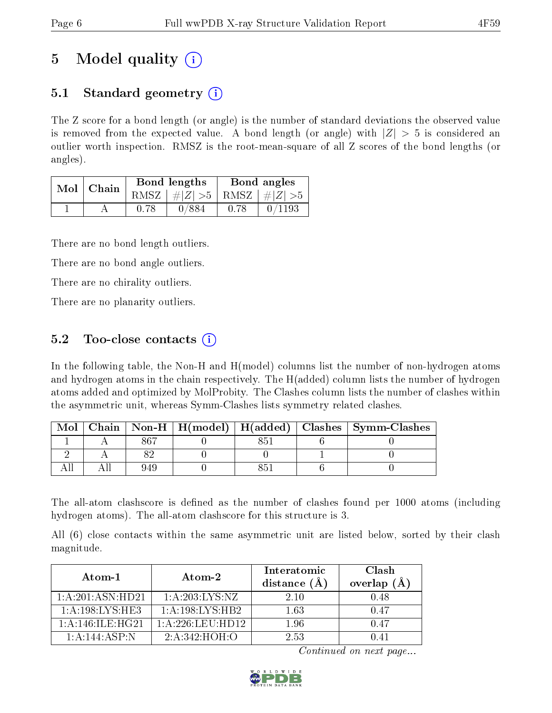## 5 Model quality  $(i)$

## 5.1 Standard geometry  $\overline{()}$

The Z score for a bond length (or angle) is the number of standard deviations the observed value is removed from the expected value. A bond length (or angle) with  $|Z| > 5$  is considered an outlier worth inspection. RMSZ is the root-mean-square of all Z scores of the bond lengths (or angles).

|  | Mol   Chain |      | Bond lengths                    | Bond angles |        |
|--|-------------|------|---------------------------------|-------------|--------|
|  |             |      | RMSZ $ #Z  > 5$ RMSZ $ #Z  > 5$ |             |        |
|  |             | 0.78 | 0/884                           | 0.78        | 0/1193 |

There are no bond length outliers.

There are no bond angle outliers.

There are no chirality outliers.

There are no planarity outliers.

### 5.2 Too-close contacts  $\overline{()}$

In the following table, the Non-H and H(model) columns list the number of non-hydrogen atoms and hydrogen atoms in the chain respectively. The H(added) column lists the number of hydrogen atoms added and optimized by MolProbity. The Clashes column lists the number of clashes within the asymmetric unit, whereas Symm-Clashes lists symmetry related clashes.

| Mol |     |  | Chain   Non-H   H(model)   H(added)   Clashes   Symm-Clashes |
|-----|-----|--|--------------------------------------------------------------|
|     | 867 |  |                                                              |
|     |     |  |                                                              |
|     | 94¢ |  |                                                              |

The all-atom clashscore is defined as the number of clashes found per 1000 atoms (including hydrogen atoms). The all-atom clashscore for this structure is 3.

All (6) close contacts within the same asymmetric unit are listed below, sorted by their clash magnitude.

| Atom-1               | Atom-2           | Interatomic<br>distance (A | Clash<br>overlap $(A)$ |
|----------------------|------------------|----------------------------|------------------------|
| 1: A: 201: ASN: HD21 | 1: A:203:LYS:NZ  | 2.10                       | 0.48                   |
| 1: A:198: LYS: HE3   | 1:A:198:LYS:HB2  | 1.63                       | 0.47                   |
| 1: A: 146: ILE: HG21 | 1:A:226:LEU:HD12 | 1.96                       | 0.47                   |
| 1: A:144: ASP: N     | 2: A:342: HOH:O  | 2.53                       | () 41                  |

Continued on next page...

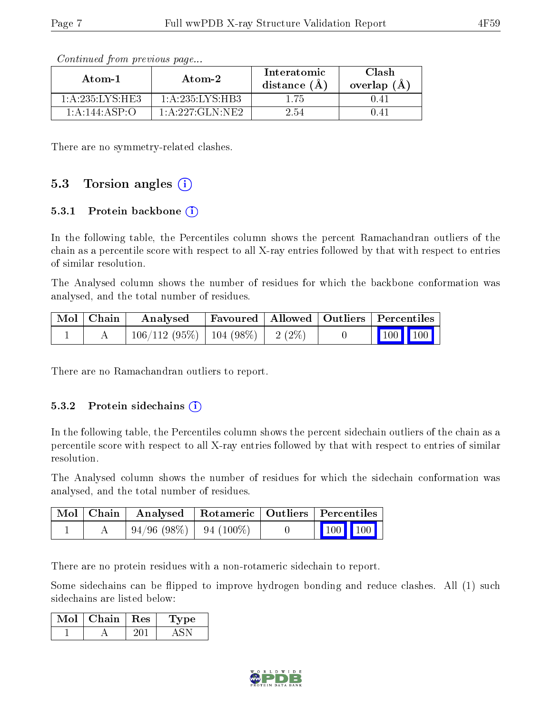| Atom-1           | Atom-2              | Interatomic<br>distance $(\AA)$ | Clash<br>overlap $(A)$ |
|------------------|---------------------|---------------------------------|------------------------|
| 1: A:235:LYS:HE3 | 1:A:235:LYS:HB3     | 1 75                            | 0.41                   |
| 1: A:144: ASP. O | 1: A: 227: GLN: NE2 | 2.54                            | 141                    |

Continued from previous page...

There are no symmetry-related clashes.

### 5.3 Torsion angles (i)

#### 5.3.1 Protein backbone  $(i)$

In the following table, the Percentiles column shows the percent Ramachandran outliers of the chain as a percentile score with respect to all X-ray entries followed by that with respect to entries of similar resolution.

The Analysed column shows the number of residues for which the backbone conformation was analysed, and the total number of residues.

| Mol   Chain | Analysed                                | Favoured   Allowed   Outliers   Percentiles |  |         |
|-------------|-----------------------------------------|---------------------------------------------|--|---------|
|             | $106/112$ (95\%)   104 (98\%)   2 (2\%) |                                             |  | 100 100 |

There are no Ramachandran outliers to report.

#### 5.3.2 Protein sidechains  $(i)$

In the following table, the Percentiles column shows the percent sidechain outliers of the chain as a percentile score with respect to all X-ray entries followed by that with respect to entries of similar resolution.

The Analysed column shows the number of residues for which the sidechain conformation was analysed, and the total number of residues.

|  | Mol   Chain   Analysed   Rotameric   Outliers   Percentiles |  |                                                            |  |
|--|-------------------------------------------------------------|--|------------------------------------------------------------|--|
|  | $\mid 94/96 \; (98\%) \mid 94 \; (100\%)$                   |  | $\begin{array}{ c c c c }\n\hline\n100 & 100\n\end{array}$ |  |

There are no protein residues with a non-rotameric sidechain to report.

Some sidechains can be flipped to improve hydrogen bonding and reduce clashes. All (1) such sidechains are listed below:

| Chain. | $\mathbf{Res}$ | ∕ре |
|--------|----------------|-----|
|        |                |     |

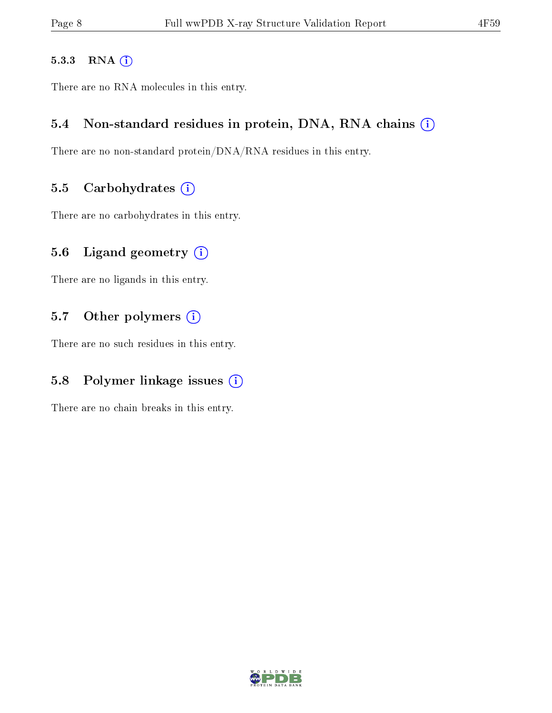#### 5.3.3 RNA [O](https://www.wwpdb.org/validation/2017/XrayValidationReportHelp#rna)i

There are no RNA molecules in this entry.

#### 5.4 Non-standard residues in protein, DNA, RNA chains (i)

There are no non-standard protein/DNA/RNA residues in this entry.

#### 5.5 Carbohydrates  $(i)$

There are no carbohydrates in this entry.

### 5.6 Ligand geometry  $(i)$

There are no ligands in this entry.

### 5.7 [O](https://www.wwpdb.org/validation/2017/XrayValidationReportHelp#nonstandard_residues_and_ligands)ther polymers (i)

There are no such residues in this entry.

### 5.8 Polymer linkage issues  $(i)$

There are no chain breaks in this entry.